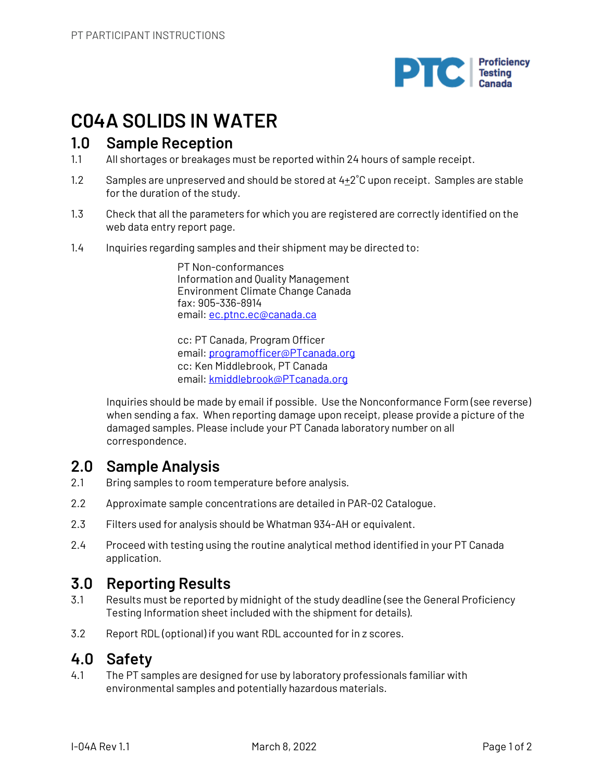

# **C04A SOLIDS IN WATER**

## **1.0 Sample Reception**

- 1.1 All shortages or breakages must be reported within 24 hours of sample receipt.
- 1.2 Samples are unpreserved and should be stored at  $4+2^{\circ}C$  upon receipt. Samples are stable for the duration of the study.
- 1.3 Check that all the parameters for which you are registered are correctly identified on the web data entry report page.
- 1.4 Inquiries regarding samples and their shipment may be directed to:

PT Non-conformances Information and Quality Management Environment Climate Change Canada fax: 905-336-8914 email: ec.ptnc.ec@canada.ca

cc: PT Canada, Program Officer email: programofficer@PTcanada.org cc: Ken Middlebrook, PT Canada email: kmiddlebrook@PTcanada.org

Inquiries should be made by email if possible. Use the Nonconformance Form (see reverse) when sending a fax. When reporting damage upon receipt, please provide a picture of the damaged samples. Please include your PT Canada laboratory number on all correspondence.

# **2.0 Sample Analysis**

- 2.1 Bring samples to room temperature before analysis.
- 2.2 Approximate sample concentrations are detailed in PAR-02 Catalogue.
- 2.3 Filters used for analysis should be Whatman 934-AH or equivalent.
- 2.4 Proceed with testing using the routine analytical method identified in your PT Canada application.

## **3.0 Reporting Results**

- 3.1 Results must be reported by midnight of the study deadline (see the General Proficiency Testing Information sheet included with the shipment for details).
- 3.2 Report RDL (optional) if you want RDL accounted for in z scores.

## **4.0 Safety**

4.1 The PT samples are designed for use by laboratory professionals familiar with environmental samples and potentially hazardous materials.